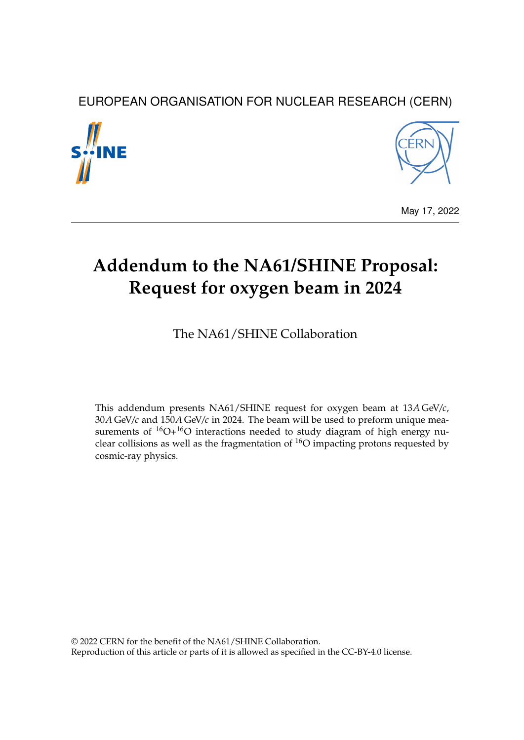# EUROPEAN ORGANISATION FOR NUCLEAR RESEARCH (CERN)





May 17, 2022

# **Addendum to the NA61/SHINE Proposal: Request for oxygen beam in 2024**

The NA61/SHINE Collaboration

This addendum presents NA61/SHINE request for oxygen beam at 13*A* GeV/*c*, 30*A* GeV/*c* and 150*A* GeV/*c* in 2024. The beam will be used to preform unique measurements of  ${}^{16}O+{}^{16}O$  interactions needed to study diagram of high energy nuclear collisions as well as the fragmentation of  ${}^{16}O$  impacting protons requested by cosmic-ray physics.

© 2022 CERN for the benefit of the NA61/SHINE Collaboration. Reproduction of this article or parts of it is allowed as specified in the CC-BY-4.0 license.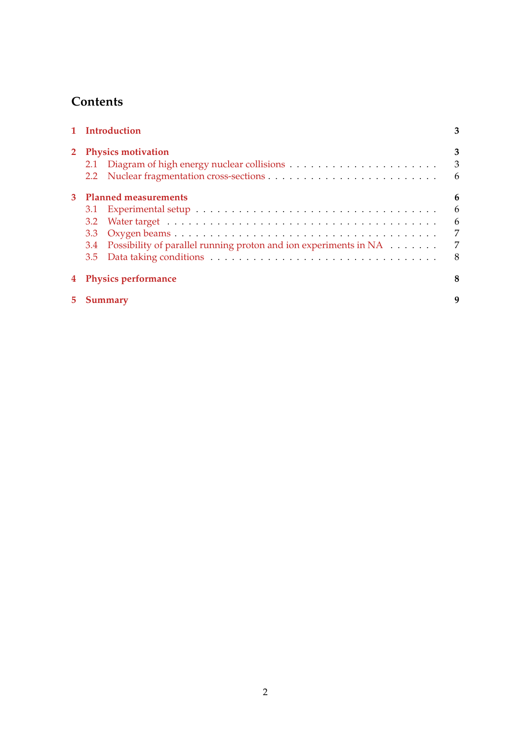# **Contents**

| 1 Introduction                                                                                                         |                                   |  |  |  |  |
|------------------------------------------------------------------------------------------------------------------------|-----------------------------------|--|--|--|--|
| 2 Physics motivation                                                                                                   | 3<br>$\overline{\mathbf{3}}$<br>6 |  |  |  |  |
| 3 Planned measurements<br>3.2<br>3.3<br>Possibility of parallel running proton and ion experiments in NA<br>3.4<br>3.5 | 6<br>6<br>6<br>7<br>7<br>8        |  |  |  |  |
| 4 Physics performance                                                                                                  |                                   |  |  |  |  |
| 5 Summary                                                                                                              |                                   |  |  |  |  |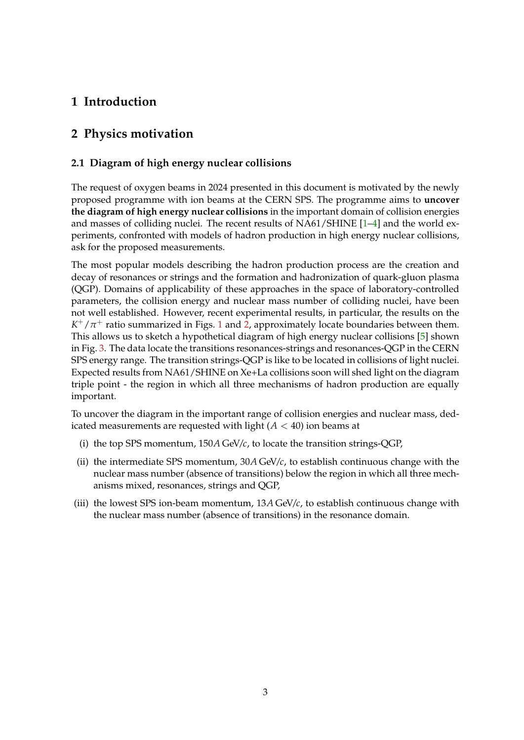# <span id="page-2-0"></span>**1 Introduction**

# <span id="page-2-1"></span>**2 Physics motivation**

### <span id="page-2-2"></span>**2.1 Diagram of high energy nuclear collisions**

The request of oxygen beams in 2024 presented in this document is motivated by the newly proposed programme with ion beams at the CERN SPS. The programme aims to **uncover the diagram of high energy nuclear collisions** in the important domain of collision energies and masses of colliding nuclei. The recent results of NA61/SHINE [\[1–](#page-10-0)[4\]](#page-10-1) and the world experiments, confronted with models of hadron production in high energy nuclear collisions, ask for the proposed measurements.

The most popular models describing the hadron production process are the creation and decay of resonances or strings and the formation and hadronization of quark-gluon plasma (QGP). Domains of applicability of these approaches in the space of laboratory-controlled parameters, the collision energy and nuclear mass number of colliding nuclei, have been not well established. However, recent experimental results, in particular, the results on the  $K^+/\pi^+$  ratio summarized in Figs. [1](#page-3-0) and [2,](#page-3-1) approximately locate boundaries between them. This allows us to sketch a hypothetical diagram of high energy nuclear collisions [\[5\]](#page-10-2) shown in Fig. [3.](#page-4-0) The data locate the transitions resonances-strings and resonances-QGP in the CERN SPS energy range. The transition strings-QGP is like to be located in collisions of light nuclei. Expected results from NA61/SHINE on Xe+La collisions soon will shed light on the diagram triple point - the region in which all three mechanisms of hadron production are equally important.

To uncover the diagram in the important range of collision energies and nuclear mass, dedicated measurements are requested with light  $(A < 40)$  ion beams at

- (i) the top SPS momentum, 150*A* GeV/*c*, to locate the transition strings-QGP,
- (ii) the intermediate SPS momentum, 30*A* GeV/*c*, to establish continuous change with the nuclear mass number (absence of transitions) below the region in which all three mechanisms mixed, resonances, strings and QGP,
- (iii) the lowest SPS ion-beam momentum, 13*A* GeV/*c*, to establish continuous change with the nuclear mass number (absence of transitions) in the resonance domain.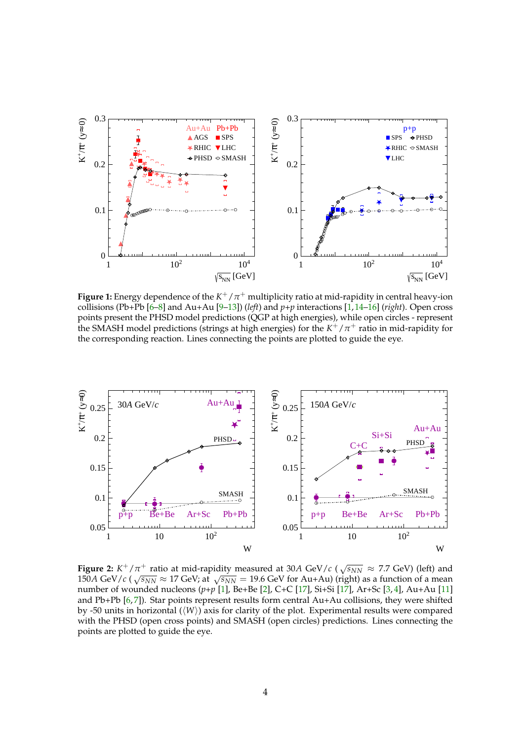<span id="page-3-0"></span>

**Figure 1:** Energy dependence of the  $K^+/\pi^+$  multiplicity ratio at mid-rapidity in central heavy-ion collisions (Pb+Pb [\[6–](#page-10-3)[8\]](#page-10-4) and Au+Au [\[9](#page-10-5)[–13\]](#page-10-6)) (*left*) and *p+p* interactions [\[1,](#page-10-0)[14](#page-10-7)[–16\]](#page-10-8) (*right*). Open cross points present the PHSD model predictions (QGP at high energies), while open circles - represent the SMASH model predictions (strings at high energies) for the  $K^+/\pi^+$  ratio in mid-rapidity for the corresponding reaction. Lines connecting the points are plotted to guide the eye.

<span id="page-3-1"></span>

**Figure 2:**  $K^+/\pi^+$  ratio at mid-rapidity measured at 30*A* GeV/*c* ( $\sqrt{s_{NN}} \approx 7.7$  GeV) (left) and 150*A* GeV/*c* ( $\sqrt{s_{NN}} \approx 17$  GeV; at  $\sqrt{s_{NN}} = 19.6$  GeV for Au+Au) (right) as a function of a mean number of wounded nucleons (*p+p* [\[1\]](#page-10-0), Be+Be [\[2\]](#page-10-9), C+C [\[17\]](#page-10-10), Si+Si [\[17\]](#page-10-10), Ar+Sc [\[3,](#page-10-11) [4\]](#page-10-1), Au+Au [\[11\]](#page-10-12) and Pb+Pb [\[6,](#page-10-3) [7\]](#page-10-13)). Star points represent results form central Au+Au collisions, they were shifted by -50 units in horizontal (⟨*W*⟩) axis for clarity of the plot. Experimental results were compared with the PHSD (open cross points) and SMASH (open circles) predictions. Lines connecting the points are plotted to guide the eye.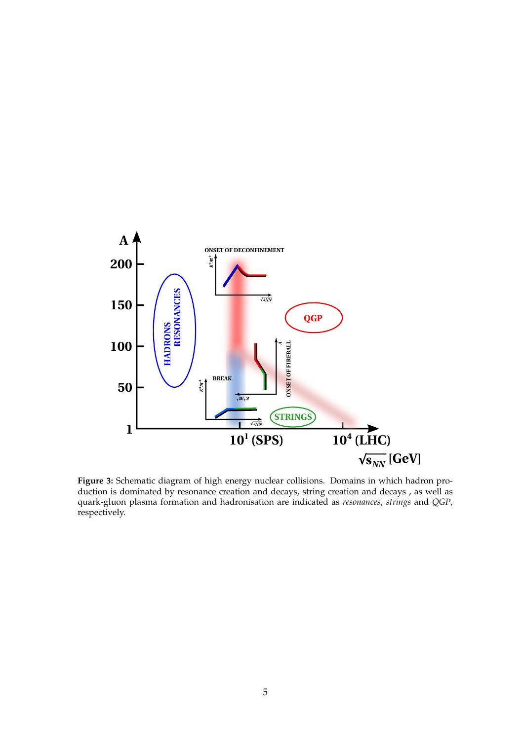<span id="page-4-0"></span>

**Figure 3:** Schematic diagram of high energy nuclear collisions. Domains in which hadron production is dominated by resonance creation and decays, string creation and decays , as well as quark-gluon plasma formation and hadronisation are indicated as *resonances*, *strings* and *QGP*, respectively.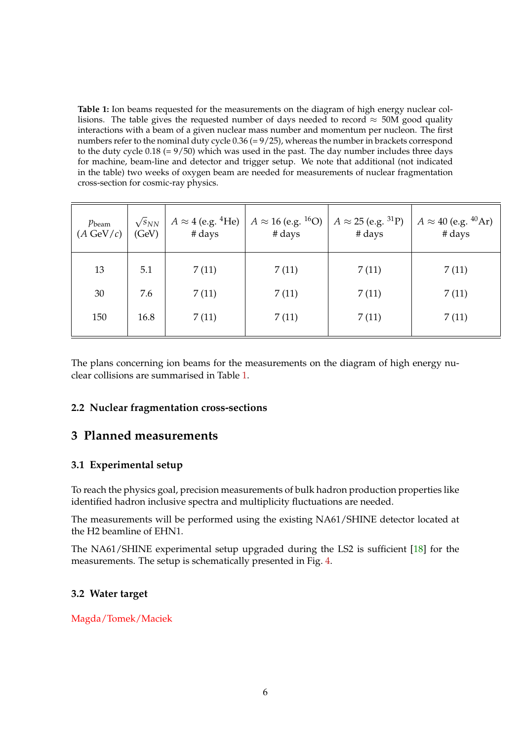<span id="page-5-4"></span>**Table 1:** Ion beams requested for the measurements on the diagram of high energy nuclear collisions. The table gives the requested number of days needed to record  $\approx$  50M good quality interactions with a beam of a given nuclear mass number and momentum per nucleon. The first numbers refer to the nominal duty cycle 0.36 (= 9/25), whereas the number in brackets correspond to the duty cycle 0.18 (= 9/50) which was used in the past. The day number includes three days for machine, beam-line and detector and trigger setup. We note that additional (not indicated in the table) two weeks of oxygen beam are needed for measurements of nuclear fragmentation cross-section for cosmic-ray physics.

| $p_{\text{beam}}$<br>$(A \text{ GeV}/c)$ | $\sqrt{s}_{NN}$<br>(GeV) | $A \approx 4$ (e.g. <sup>4</sup> He)<br># days | $A \approx 16$ (e.g. <sup>16</sup> O)<br># days | $A \approx 25$ (e.g. <sup>31</sup> P)<br># days | $A \approx 40$ (e.g. <sup>40</sup> Ar)<br># days |
|------------------------------------------|--------------------------|------------------------------------------------|-------------------------------------------------|-------------------------------------------------|--------------------------------------------------|
| 13                                       | 5.1                      | 7(11)                                          | 7(11)                                           | 7(11)                                           | 7(11)                                            |
| 30                                       | 7.6                      | 7(11)                                          | 7(11)                                           | 7(11)                                           | 7(11)                                            |
| 150                                      | 16.8                     | 7(11)                                          | 7(11)                                           | 7(11)                                           | 7(11)                                            |

The plans concerning ion beams for the measurements on the diagram of high energy nuclear collisions are summarised in Table [1.](#page-5-4)

### <span id="page-5-0"></span>**2.2 Nuclear fragmentation cross-sections**

### <span id="page-5-1"></span>**3 Planned measurements**

#### <span id="page-5-2"></span>**3.1 Experimental setup**

To reach the physics goal, precision measurements of bulk hadron production properties like identified hadron inclusive spectra and multiplicity fluctuations are needed.

The measurements will be performed using the existing NA61/SHINE detector located at the H2 beamline of EHN1.

The NA61/SHINE experimental setup upgraded during the LS2 is sufficient [\[18\]](#page-10-14) for the measurements. The setup is schematically presented in Fig. [4.](#page-6-2)

#### <span id="page-5-3"></span>**3.2 Water target**

#### Magda/Tomek/Maciek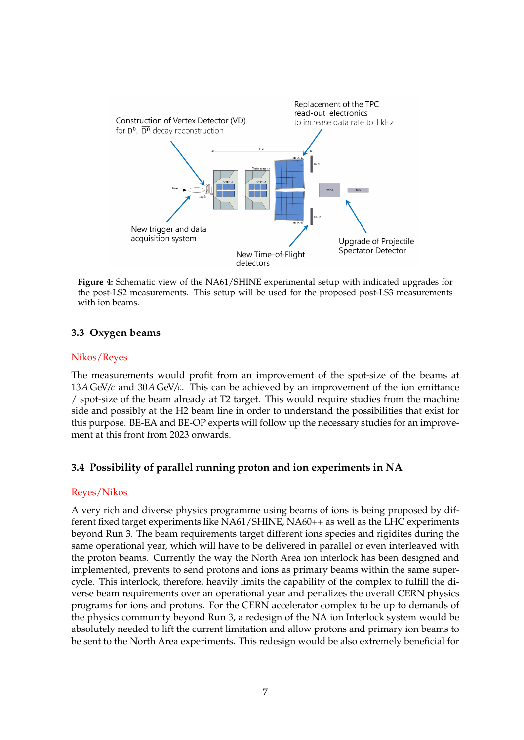<span id="page-6-2"></span>

**Figure 4:** Schematic view of the NA61/SHINE experimental setup with indicated upgrades for the post-LS2 measurements. This setup will be used for the proposed post-LS3 measurements with ion beams.

### <span id="page-6-0"></span>**3.3 Oxygen beams**

#### Nikos/Reyes

The measurements would profit from an improvement of the spot-size of the beams at 13*A* GeV/*c* and 30*A* GeV/*c*. This can be achieved by an improvement of the ion emittance / spot-size of the beam already at T2 target. This would require studies from the machine side and possibly at the H2 beam line in order to understand the possibilities that exist for this purpose. BE-EA and BE-OP experts will follow up the necessary studies for an improvement at this front from 2023 onwards.

### <span id="page-6-1"></span>**3.4 Possibility of parallel running proton and ion experiments in NA**

#### Reyes/Nikos

A very rich and diverse physics programme using beams of ions is being proposed by different fixed target experiments like NA61/SHINE, NA60++ as well as the LHC experiments beyond Run 3. The beam requirements target different ions species and rigidites during the same operational year, which will have to be delivered in parallel or even interleaved with the proton beams. Currently the way the North Area ion interlock has been designed and implemented, prevents to send protons and ions as primary beams within the same supercycle. This interlock, therefore, heavily limits the capability of the complex to fulfill the diverse beam requirements over an operational year and penalizes the overall CERN physics programs for ions and protons. For the CERN accelerator complex to be up to demands of the physics community beyond Run 3, a redesign of the NA ion Interlock system would be absolutely needed to lift the current limitation and allow protons and primary ion beams to be sent to the North Area experiments. This redesign would be also extremely beneficial for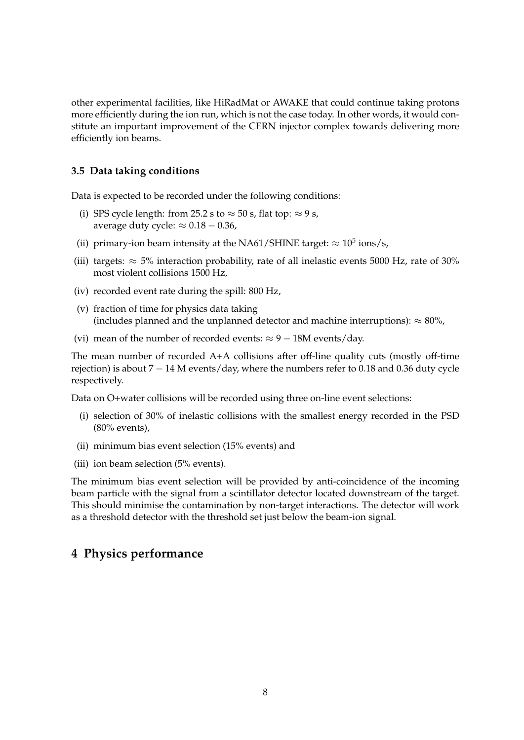other experimental facilities, like HiRadMat or AWAKE that could continue taking protons more efficiently during the ion run, which is not the case today. In other words, it would constitute an important improvement of the CERN injector complex towards delivering more efficiently ion beams.

#### <span id="page-7-0"></span>**3.5 Data taking conditions**

Data is expected to be recorded under the following conditions:

- (i) SPS cycle length: from 25.2 s to  $\approx$  50 s, flat top:  $\approx$  9 s, average duty cycle:  $\approx 0.18 - 0.36$ ,
- (ii) primary-ion beam intensity at the NA61/SHINE target:  $\approx 10^5$  ions/s,
- (iii) targets:  $\approx$  5% interaction probability, rate of all inelastic events 5000 Hz, rate of 30% most violent collisions 1500 Hz,
- (iv) recorded event rate during the spill: 800 Hz,
- (v) fraction of time for physics data taking (includes planned and the unplanned detector and machine interruptions):  $\approx 80\%$ ,
- (vi) mean of the number of recorded events:  $\approx 9 18$ M events/day.

The mean number of recorded A+A collisions after off-line quality cuts (mostly off-time rejection) is about 7 − 14 M events/day, where the numbers refer to 0.18 and 0.36 duty cycle respectively.

Data on O+water collisions will be recorded using three on-line event selections:

- (i) selection of 30% of inelastic collisions with the smallest energy recorded in the PSD (80% events),
- (ii) minimum bias event selection (15% events) and
- (iii) ion beam selection (5% events).

The minimum bias event selection will be provided by anti-coincidence of the incoming beam particle with the signal from a scintillator detector located downstream of the target. This should minimise the contamination by non-target interactions. The detector will work as a threshold detector with the threshold set just below the beam-ion signal.

### <span id="page-7-1"></span>**4 Physics performance**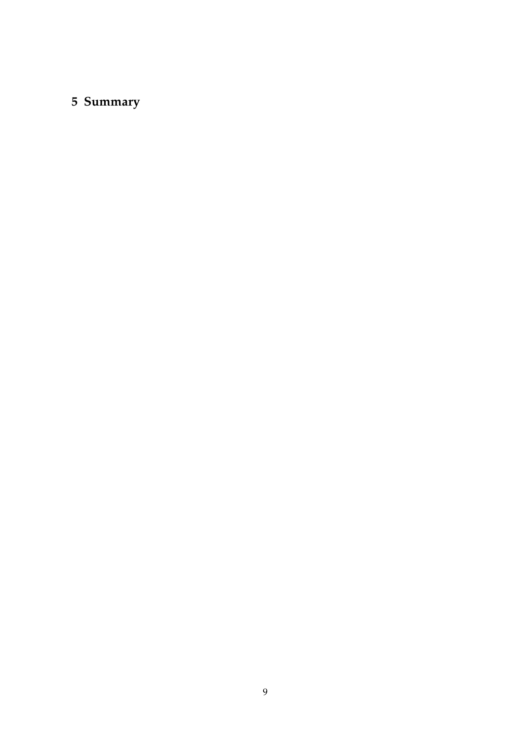# <span id="page-8-0"></span>**5 Summary**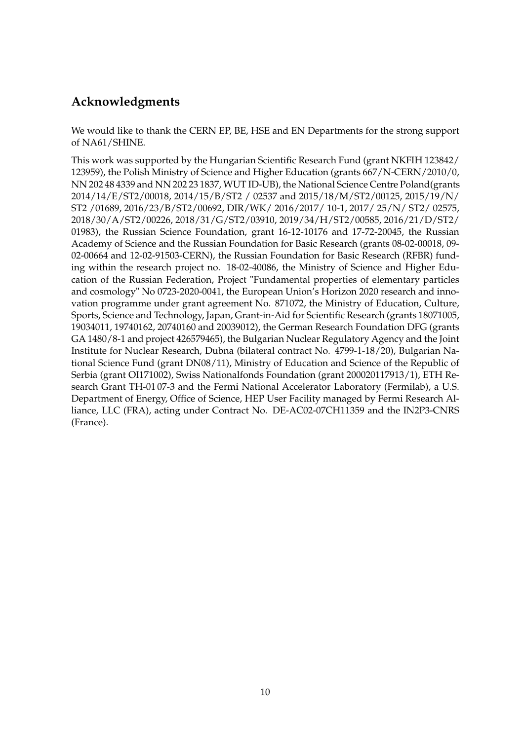# **Acknowledgments**

We would like to thank the CERN EP, BE, HSE and EN Departments for the strong support of NA61/SHINE.

This work was supported by the Hungarian Scientific Research Fund (grant NKFIH 123842/ 123959), the Polish Ministry of Science and Higher Education (grants 667/N-CERN/2010/0, NN 202 48 4339 and NN 202 23 1837, WUT ID-UB), the National Science Centre Poland(grants 2014/14/E/ST2/00018, 2014/15/B/ST2 / 02537 and 2015/18/M/ST2/00125, 2015/19/N/ ST2 /01689, 2016/23/B/ST2/00692, DIR/WK/ 2016/2017/ 10-1, 2017/ 25/N/ ST2/ 02575, 2018/30/A/ST2/00226, 2018/31/G/ST2/03910, 2019/34/H/ST2/00585, 2016/21/D/ST2/ 01983), the Russian Science Foundation, grant 16-12-10176 and 17-72-20045, the Russian Academy of Science and the Russian Foundation for Basic Research (grants 08-02-00018, 09- 02-00664 and 12-02-91503-CERN), the Russian Foundation for Basic Research (RFBR) funding within the research project no. 18-02-40086, the Ministry of Science and Higher Education of the Russian Federation, Project "Fundamental properties of elementary particles and cosmology" No 0723-2020-0041, the European Union's Horizon 2020 research and innovation programme under grant agreement No. 871072, the Ministry of Education, Culture, Sports, Science and Technology, Japan, Grant-in-Aid for Scientific Research (grants 18071005, 19034011, 19740162, 20740160 and 20039012), the German Research Foundation DFG (grants GA 1480/8-1 and project 426579465), the Bulgarian Nuclear Regulatory Agency and the Joint Institute for Nuclear Research, Dubna (bilateral contract No. 4799-1-18/20), Bulgarian National Science Fund (grant DN08/11), Ministry of Education and Science of the Republic of Serbia (grant OI171002), Swiss Nationalfonds Foundation (grant 200020117913/1), ETH Research Grant TH-01 07-3 and the Fermi National Accelerator Laboratory (Fermilab), a U.S. Department of Energy, Office of Science, HEP User Facility managed by Fermi Research Alliance, LLC (FRA), acting under Contract No. DE-AC02-07CH11359 and the IN2P3-CNRS (France).